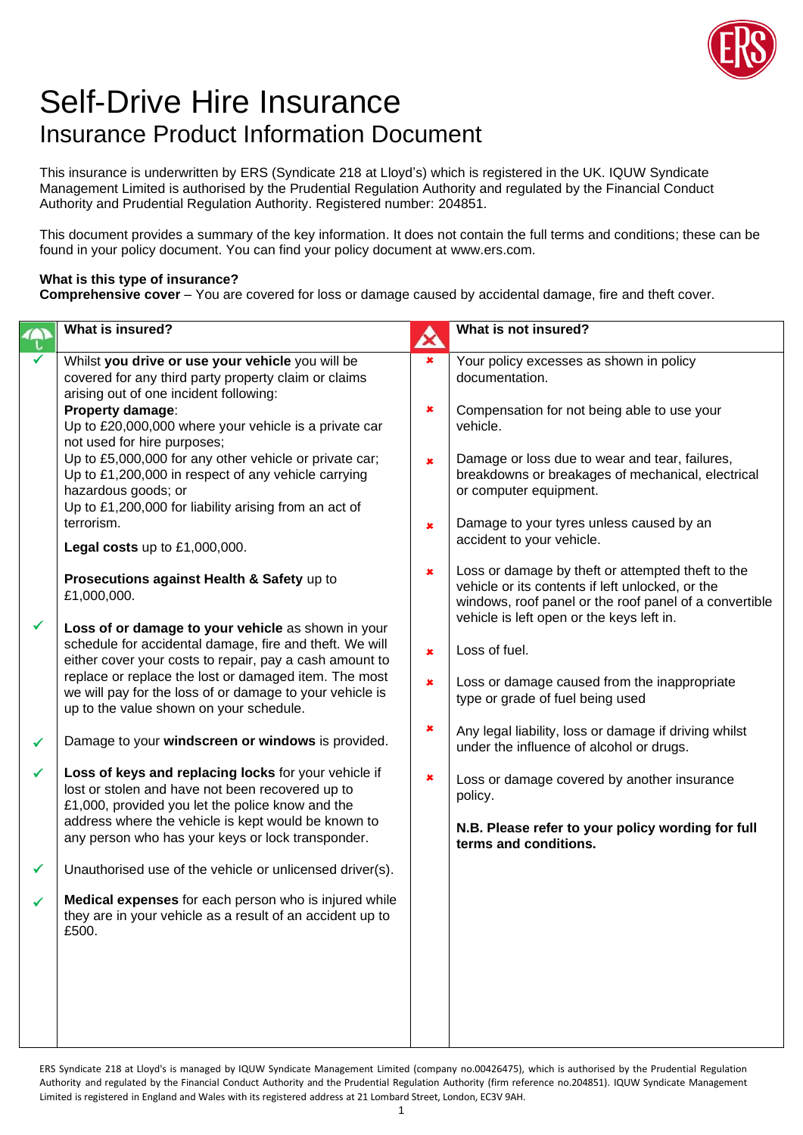

## Self-Drive Hire Insurance Insurance Product Information Document

This insurance is underwritten by ERS (Syndicate 218 at Lloyd's) which is registered in the UK. IQUW Syndicate Management Limited is authorised by the Prudential Regulation Authority and regulated by the Financial Conduct Authority and Prudential Regulation Authority. Registered number: 204851.

This document provides a summary of the key information. It does not contain the full terms and conditions; these can be found in your policy document. You can find your policy document at www.ers.com.

## **What is this type of insurance?**

**Comprehensive cover** – You are covered for loss or damage caused by accidental damage, fire and theft cover.

|   | What is insured?                                                                                                                                                                                                                                                                                                                                                                                                                                                                                                                                                                                                                                                                                                                                           | A                                                    | What is not insured?                                                                                                                                                                                                                                                                                                                                                                                                                                                                                                                                            |
|---|------------------------------------------------------------------------------------------------------------------------------------------------------------------------------------------------------------------------------------------------------------------------------------------------------------------------------------------------------------------------------------------------------------------------------------------------------------------------------------------------------------------------------------------------------------------------------------------------------------------------------------------------------------------------------------------------------------------------------------------------------------|------------------------------------------------------|-----------------------------------------------------------------------------------------------------------------------------------------------------------------------------------------------------------------------------------------------------------------------------------------------------------------------------------------------------------------------------------------------------------------------------------------------------------------------------------------------------------------------------------------------------------------|
| ✔ | Whilst you drive or use your vehicle you will be<br>covered for any third party property claim or claims<br>arising out of one incident following:<br>Property damage:<br>Up to £20,000,000 where your vehicle is a private car<br>not used for hire purposes;<br>Up to £5,000,000 for any other vehicle or private car;<br>Up to £1,200,000 in respect of any vehicle carrying<br>hazardous goods; or<br>Up to £1,200,000 for liability arising from an act of<br>terrorism.<br>Legal costs up to $£1,000,000$ .<br>Prosecutions against Health & Safety up to<br>£1,000,000.<br>Loss of or damage to your vehicle as shown in your<br>schedule for accidental damage, fire and theft. We will<br>either cover your costs to repair, pay a cash amount to | $\pmb{\times}$<br>×<br>$\pmb{\times}$<br>×<br>×<br>× | Your policy excesses as shown in policy<br>documentation.<br>Compensation for not being able to use your<br>vehicle.<br>Damage or loss due to wear and tear, failures,<br>breakdowns or breakages of mechanical, electrical<br>or computer equipment.<br>Damage to your tyres unless caused by an<br>accident to your vehicle.<br>Loss or damage by theft or attempted theft to the<br>vehicle or its contents if left unlocked, or the<br>windows, roof panel or the roof panel of a convertible<br>vehicle is left open or the keys left in.<br>Loss of fuel. |
|   | replace or replace the lost or damaged item. The most<br>we will pay for the loss of or damage to your vehicle is<br>up to the value shown on your schedule.                                                                                                                                                                                                                                                                                                                                                                                                                                                                                                                                                                                               | ×                                                    | Loss or damage caused from the inappropriate<br>type or grade of fuel being used                                                                                                                                                                                                                                                                                                                                                                                                                                                                                |
| ✓ | Damage to your windscreen or windows is provided.                                                                                                                                                                                                                                                                                                                                                                                                                                                                                                                                                                                                                                                                                                          | ×                                                    | Any legal liability, loss or damage if driving whilst<br>under the influence of alcohol or drugs.                                                                                                                                                                                                                                                                                                                                                                                                                                                               |
| ✓ | Loss of keys and replacing locks for your vehicle if<br>lost or stolen and have not been recovered up to<br>£1,000, provided you let the police know and the<br>address where the vehicle is kept would be known to<br>any person who has your keys or lock transponder.                                                                                                                                                                                                                                                                                                                                                                                                                                                                                   | ×                                                    | Loss or damage covered by another insurance<br>policy.<br>N.B. Please refer to your policy wording for full<br>terms and conditions.                                                                                                                                                                                                                                                                                                                                                                                                                            |
| ✔ | Unauthorised use of the vehicle or unlicensed driver(s).                                                                                                                                                                                                                                                                                                                                                                                                                                                                                                                                                                                                                                                                                                   |                                                      |                                                                                                                                                                                                                                                                                                                                                                                                                                                                                                                                                                 |
|   | Medical expenses for each person who is injured while<br>they are in your vehicle as a result of an accident up to<br>£500.                                                                                                                                                                                                                                                                                                                                                                                                                                                                                                                                                                                                                                |                                                      |                                                                                                                                                                                                                                                                                                                                                                                                                                                                                                                                                                 |
|   |                                                                                                                                                                                                                                                                                                                                                                                                                                                                                                                                                                                                                                                                                                                                                            |                                                      |                                                                                                                                                                                                                                                                                                                                                                                                                                                                                                                                                                 |

ERS Syndicate 218 at Lloyd's is managed by IQUW Syndicate Management Limited (company no.00426475), which is authorised by the Prudential Regulation Authority and regulated by the Financial Conduct Authority and the Prudential Regulation Authority (firm reference no.204851). IQUW Syndicate Management Limited is registered in England and Wales with its registered address at 21 Lombard Street, London, EC3V 9AH.